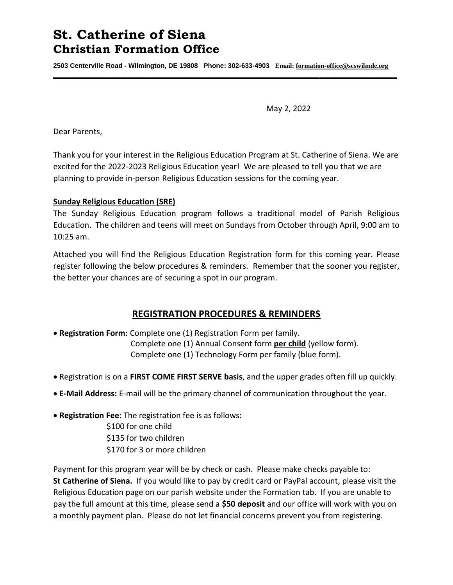# **St. Catherine of Siena Christian Formation Office**

**2503 Centerville Road - Wilmington, DE 19808 Phone: 302-633-4903 Email: [formation-office@scswilmde.org](mailto:formation-office@scswilmde.org) \_\_\_\_\_\_\_\_\_\_\_\_\_\_\_\_\_\_\_\_\_\_\_\_\_\_\_\_\_\_\_\_\_\_\_\_\_\_\_\_\_\_\_\_\_\_\_\_\_\_\_\_\_\_\_\_\_\_\_\_\_\_\_\_\_\_\_\_\_\_\_\_\_\_\_\_\_\_\_\_\_\_\_\_\_\_\_\_\_\_\_\_\_**

May 2, 2022

Dear Parents,

Thank you for your interest in the Religious Education Program at St. Catherine of Siena. We are excited for the 2022-2023 Religious Education year! We are pleased to tell you that we are planning to provide in-person Religious Education sessions for the coming year.

## **Sunday Religious Education (SRE)**

The Sunday Religious Education program follows a traditional model of Parish Religious Education. The children and teens will meet on Sundays from October through April, 9:00 am to 10:25 am.

Attached you will find the Religious Education Registration form for this coming year. Please register following the below procedures & reminders. Remember that the sooner you register, the better your chances are of securing a spot in our program.

## **REGISTRATION PROCEDURES & REMINDERS**

- **Registration Form:** Complete one (1) Registration Form per family. Complete one (1) Annual Consent form **per child** (yellow form). Complete one (1) Technology Form per family (blue form).
- Registration is on a **FIRST COME FIRST SERVE basis**, and the upper grades often fill up quickly.
- **E-Mail Address:** E-mail will be the primary channel of communication throughout the year.
- **Registration Fee**: The registration fee is as follows:

\$100 for one child \$135 for two children \$170 for 3 or more children

Payment for this program year will be by check or cash. Please make checks payable to: **St Catherine of Siena.** If you would like to pay by credit card or PayPal account, please visit the Religious Education page on our parish website under the Formation tab. If you are unable to pay the full amount at this time, please send a **\$50 deposit** and our office will work with you on a monthly payment plan. Please do not let financial concerns prevent you from registering.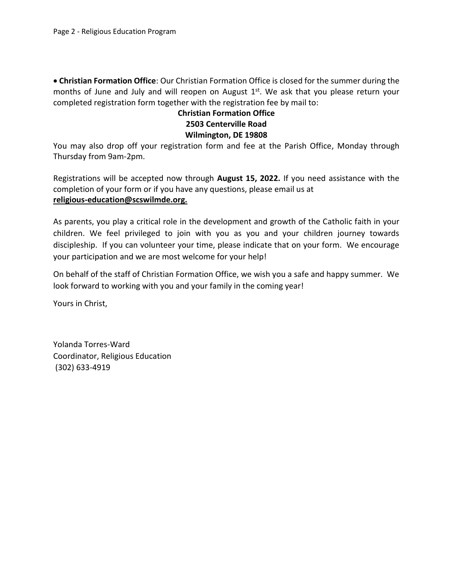**Christian Formation Office**: Our Christian Formation Office is closed for the summer during the months of June and July and will reopen on August 1<sup>st</sup>. We ask that you please return your completed registration form together with the registration fee by mail to:

## **Christian Formation Office 2503 Centerville Road Wilmington, DE 19808**

You may also drop off your registration form and fee at the Parish Office, Monday through Thursday from 9am-2pm.

Registrations will be accepted now through **August 15, 2022.** If you need assistance with the completion of your form or if you have any questions, please email us at **[religious-education@scswilmde.org.](mailto:religious-education@scswilmde.org.)** 

As parents, you play a critical role in the development and growth of the Catholic faith in your children. We feel privileged to join with you as you and your children journey towards discipleship. If you can volunteer your time, please indicate that on your form. We encourage your participation and we are most welcome for your help!

On behalf of the staff of Christian Formation Office, we wish you a safe and happy summer. We look forward to working with you and your family in the coming year!

Yours in Christ,

Yolanda Torres-Ward Coordinator, Religious Education (302) 633-4919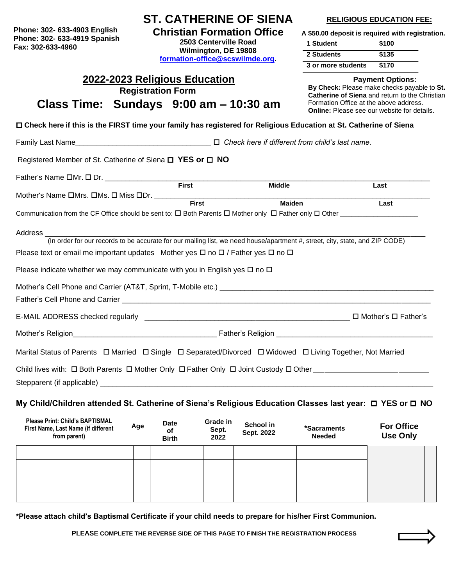**Phone: 302- 633-4903 English Fax: 302-633-4960 Phone: 302- 633-4919 Spanish**

## **ST. CATHERINE OF SIENA**

**Christian Formation Office 2503 Centerville Road**

**Wilmington, DE 19808 [formation-office@scswilmde.org.](mailto:formation-office@scswilmde.org)** 

### **RELIGIOUS EDUCATION FEE:**

 **A \$50.00 deposit is required with registration.** 

| 1 Student          | \$100 |
|--------------------|-------|
| 2 Students         | \$135 |
| 3 or more students | \$170 |

### **Payment Options:**

**By Check:** Please make checks payable to **St. Catherine of Siena** and return to the Christian Formation Office at the above address. **Online:** Please see our website for details.

**Check here if this is the FIRST time your family has registered for Religious Education at St. Catherine of Siena**

**2022-2023 Religious Education Registration Form Class Time: Sundays 9:00 am – 10:30 am**

Family Last Name\_\_\_\_\_\_\_\_\_\_\_\_\_\_\_\_\_\_\_\_\_\_\_\_\_\_\_\_\_\_\_\_\_ *Check here if different from child's last name.*

Registered Member of St. Catherine of Siena **□ YES or □ NO** 

| Father's Name $\square$ Mr. $\square$ Dr.                                                                                              |              |               |      |
|----------------------------------------------------------------------------------------------------------------------------------------|--------------|---------------|------|
|                                                                                                                                        | <b>First</b> | <b>Middle</b> | Last |
| Mother's Name OMrs. OMs. O Miss ODr.                                                                                                   |              |               |      |
|                                                                                                                                        | <b>First</b> | <b>Maiden</b> | Last |
| Communication from the CF Office should be sent to: $\square$ Both Parents $\square$ Mother only $\square$ Father only $\square$ Other |              |               |      |
|                                                                                                                                        |              |               |      |
| Address                                                                                                                                |              |               |      |
| (In order for our records to be accurate for our mailing list, we need house/apartment #, street, city, state, and ZIP CODE)           |              |               |      |
| Please text or email me important updates Mother yes $\Box$ no $\Box$ / Father yes $\Box$ no $\Box$                                    |              |               |      |
|                                                                                                                                        |              |               |      |
| Please indicate whether we may communicate with you in English yes $\Box$ no $\Box$                                                    |              |               |      |
|                                                                                                                                        |              |               |      |
|                                                                                                                                        |              |               |      |
| Father's Cell Phone and Carrier                                                                                                        |              |               |      |

E-MAIL ADDRESS checked regularly\_\_\_\_\_\_\_\_\_\_\_\_\_\_\_\_\_\_\_\_\_\_\_\_\_\_\_\_\_\_\_\_\_\_\_\_\_\_\_\_\_\_\_\_\_\_\_\_\_\_ Mother's Father's

Mother's Religion **Exercise Contract Contract Contract Contract Contract Contract Contract Contract Contract Contract Contract Contract Contract Contract Contract Contract Contract Contract Contract Contract Contract Contr** 

Marital Status of Parents  $\Box$  Married  $\Box$  Single  $\Box$  Separated/Divorced  $\Box$  Widowed  $\Box$  Living Together, Not Married

Child lives with: Both Parents Mother Only Father Only Joint Custody Other \_\_\_\_\_\_\_\_\_\_\_\_\_\_\_\_\_\_\_\_\_\_\_\_\_\_\_\_\_\_\_\_\_\_\_\_\_\_\_\_\_\_

Stepparent (if applicable)

## **My Child/Children attended St. Catherine of Siena's Religious Education Classes last year: □ YES or □ NO**

| Please Print: Child's BAPTISMAL<br>First Name, Last Name (if different<br>from parent) | Age | <b>Date</b><br>οf<br><b>Birth</b> | Grade in<br>Sept.<br>2022 | School in<br>Sept. 2022 | *Sacraments<br><b>Needed</b> | <b>For Office</b><br><b>Use Only</b> |  |
|----------------------------------------------------------------------------------------|-----|-----------------------------------|---------------------------|-------------------------|------------------------------|--------------------------------------|--|
|                                                                                        |     |                                   |                           |                         |                              |                                      |  |
|                                                                                        |     |                                   |                           |                         |                              |                                      |  |
|                                                                                        |     |                                   |                           |                         |                              |                                      |  |
|                                                                                        |     |                                   |                           |                         |                              |                                      |  |

**\*Please attach child's Baptismal Certificate if your child needs to prepare for his/her First Communion.**

**PLEASE COMPLETE THE REVERSE SIDE OF THIS PAGE TO FINISH THE REGISTRATION PROCESS**